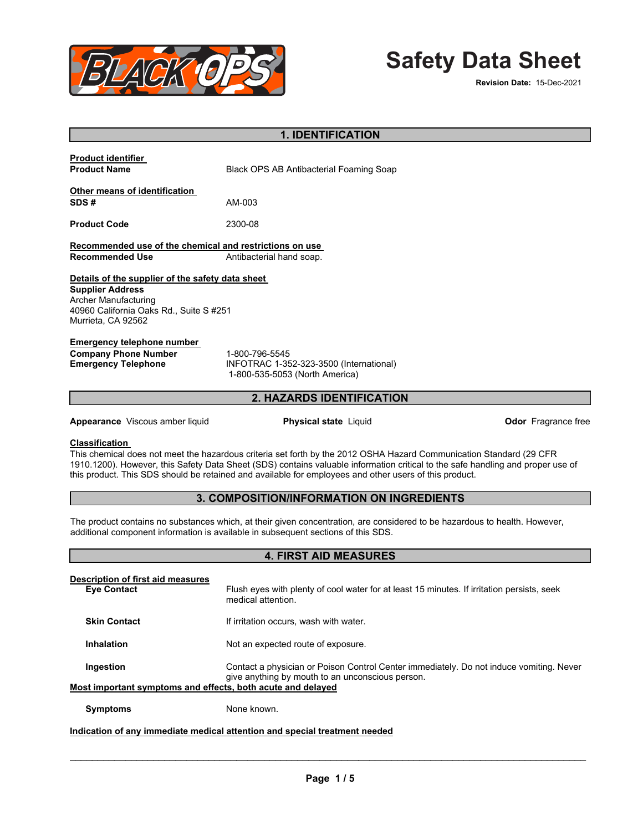

# **Safety Data Sheet**

| <b>1. IDENTIFICATION</b>                                                                                                                                                                                                                                                                                                                                                                  |                                                                                                                                             |                            |  |  |  |  |
|-------------------------------------------------------------------------------------------------------------------------------------------------------------------------------------------------------------------------------------------------------------------------------------------------------------------------------------------------------------------------------------------|---------------------------------------------------------------------------------------------------------------------------------------------|----------------------------|--|--|--|--|
| <b>Product identifier</b><br><b>Product Name</b>                                                                                                                                                                                                                                                                                                                                          | Black OPS AB Antibacterial Foaming Soap                                                                                                     |                            |  |  |  |  |
| Other means of identification<br>SDS#                                                                                                                                                                                                                                                                                                                                                     | AM-003                                                                                                                                      |                            |  |  |  |  |
| <b>Product Code</b>                                                                                                                                                                                                                                                                                                                                                                       | 2300-08                                                                                                                                     |                            |  |  |  |  |
| Recommended use of the chemical and restrictions on use<br><b>Recommended Use</b><br>Antibacterial hand soap.                                                                                                                                                                                                                                                                             |                                                                                                                                             |                            |  |  |  |  |
| Details of the supplier of the safety data sheet<br><b>Supplier Address</b><br>Archer Manufacturing<br>40960 California Oaks Rd., Suite S #251<br>Murrieta, CA 92562                                                                                                                                                                                                                      |                                                                                                                                             |                            |  |  |  |  |
| <b>Emergency telephone number</b><br><b>Company Phone Number</b><br><b>Emergency Telephone</b>                                                                                                                                                                                                                                                                                            | 1-800-796-5545<br>INFOTRAC 1-352-323-3500 (International)<br>1-800-535-5053 (North America)                                                 |                            |  |  |  |  |
|                                                                                                                                                                                                                                                                                                                                                                                           | 2. HAZARDS IDENTIFICATION                                                                                                                   |                            |  |  |  |  |
| Appearance Viscous amber liquid                                                                                                                                                                                                                                                                                                                                                           | <b>Physical state Liquid</b>                                                                                                                | <b>Odor</b> Fragrance free |  |  |  |  |
| <b>Classification</b><br>This chemical does not meet the hazardous criteria set forth by the 2012 OSHA Hazard Communication Standard (29 CFR<br>1910.1200). However, this Safety Data Sheet (SDS) contains valuable information critical to the safe handling and proper use of<br>this product. This SDS should be retained and available for employees and other users of this product. |                                                                                                                                             |                            |  |  |  |  |
|                                                                                                                                                                                                                                                                                                                                                                                           | 3. COMPOSITION/INFORMATION ON INGREDIENTS                                                                                                   |                            |  |  |  |  |
| The product contains no substances which, at their given concentration, are considered to be hazardous to health. However,<br>additional component information is available in subsequent sections of this SDS.                                                                                                                                                                           |                                                                                                                                             |                            |  |  |  |  |
|                                                                                                                                                                                                                                                                                                                                                                                           | <b>4. FIRST AID MEASURES</b>                                                                                                                |                            |  |  |  |  |
| <b>Description of first aid measures</b><br><b>Eye Contact</b>                                                                                                                                                                                                                                                                                                                            | Flush eyes with plenty of cool water for at least 15 minutes. If irritation persists, seek<br>medical attention.                            |                            |  |  |  |  |
| <b>Skin Contact</b>                                                                                                                                                                                                                                                                                                                                                                       | If irritation occurs, wash with water.                                                                                                      |                            |  |  |  |  |
| Inhalation                                                                                                                                                                                                                                                                                                                                                                                | Not an expected route of exposure.                                                                                                          |                            |  |  |  |  |
| Ingestion<br>Most important symptoms and effects, both acute and delayed                                                                                                                                                                                                                                                                                                                  | Contact a physician or Poison Control Center immediately. Do not induce vomiting. Never<br>give anything by mouth to an unconscious person. |                            |  |  |  |  |

**Symptoms** None known.

# **Indication of any immediate medical attention and special treatment needed**

\_\_\_\_\_\_\_\_\_\_\_\_\_\_\_\_\_\_\_\_\_\_\_\_\_\_\_\_\_\_\_\_\_\_\_\_\_\_\_\_\_\_\_\_\_\_\_\_\_\_\_\_\_\_\_\_\_\_\_\_\_\_\_\_\_\_\_\_\_\_\_\_\_\_\_\_\_\_\_\_\_\_\_\_\_\_\_\_\_\_\_\_\_

 $\overline{\phantom{a}}$  ,  $\overline{\phantom{a}}$  ,  $\overline{\phantom{a}}$  ,  $\overline{\phantom{a}}$  ,  $\overline{\phantom{a}}$  ,  $\overline{\phantom{a}}$  ,  $\overline{\phantom{a}}$  ,  $\overline{\phantom{a}}$  ,  $\overline{\phantom{a}}$  ,  $\overline{\phantom{a}}$  ,  $\overline{\phantom{a}}$  ,  $\overline{\phantom{a}}$  ,  $\overline{\phantom{a}}$  ,  $\overline{\phantom{a}}$  ,  $\overline{\phantom{a}}$  ,  $\overline{\phantom{a}}$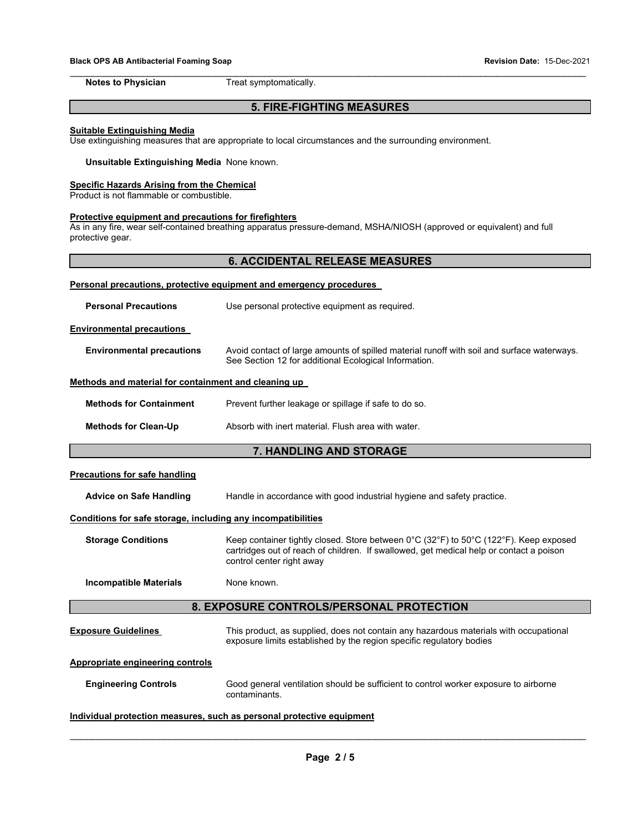\_\_\_\_\_\_\_\_\_\_\_\_\_\_\_\_\_\_\_\_\_\_\_\_\_\_\_\_\_\_\_\_\_\_\_\_\_\_\_\_\_\_\_\_\_\_\_\_\_\_\_\_\_\_\_\_\_\_\_\_\_\_\_\_\_\_\_\_\_\_\_\_\_\_\_\_\_\_\_\_\_\_\_\_\_\_\_\_\_\_\_\_\_ **Notes to Physician Treat symptomatically.** 

# **5. FIRE-FIGHTING MEASURES**

### **Suitable Extinguishing Media**

Use extinguishing measures that are appropriate to local circumstances and the surrounding environment.

### **Unsuitable Extinguishing Media** None known.

### **Specific Hazards Arising from the Chemical**

Product is not flammable or combustible.

### **Protective equipment and precautions for firefighters**

As in any fire, wear self-contained breathing apparatus pressure-demand, MSHA/NIOSH (approved or equivalent) and full protective gear.

# **6. ACCIDENTAL RELEASE MEASURES**

| Personal precautions, protective equipment and emergency procedures   |                                                                                                                                                                                                               |  |  |  |  |
|-----------------------------------------------------------------------|---------------------------------------------------------------------------------------------------------------------------------------------------------------------------------------------------------------|--|--|--|--|
| <b>Personal Precautions</b>                                           | Use personal protective equipment as required.                                                                                                                                                                |  |  |  |  |
| <b>Environmental precautions</b>                                      |                                                                                                                                                                                                               |  |  |  |  |
| <b>Environmental precautions</b>                                      | Avoid contact of large amounts of spilled material runoff with soil and surface waterways.<br>See Section 12 for additional Ecological Information.                                                           |  |  |  |  |
| Methods and material for containment and cleaning up                  |                                                                                                                                                                                                               |  |  |  |  |
| <b>Methods for Containment</b>                                        | Prevent further leakage or spillage if safe to do so.                                                                                                                                                         |  |  |  |  |
| <b>Methods for Clean-Up</b>                                           | Absorb with inert material. Flush area with water.                                                                                                                                                            |  |  |  |  |
|                                                                       | 7. HANDLING AND STORAGE                                                                                                                                                                                       |  |  |  |  |
| <b>Precautions for safe handling</b>                                  |                                                                                                                                                                                                               |  |  |  |  |
| <b>Advice on Safe Handling</b>                                        | Handle in accordance with good industrial hygiene and safety practice.                                                                                                                                        |  |  |  |  |
| Conditions for safe storage, including any incompatibilities          |                                                                                                                                                                                                               |  |  |  |  |
| <b>Storage Conditions</b>                                             | Keep container tightly closed. Store between 0°C (32°F) to 50°C (122°F). Keep exposed<br>cartridges out of reach of children. If swallowed, get medical help or contact a poison<br>control center right away |  |  |  |  |
| <b>Incompatible Materials</b>                                         | None known.                                                                                                                                                                                                   |  |  |  |  |
|                                                                       | 8. EXPOSURE CONTROLS/PERSONAL PROTECTION                                                                                                                                                                      |  |  |  |  |
| <b>Exposure Guidelines</b>                                            | This product, as supplied, does not contain any hazardous materials with occupational<br>exposure limits established by the region specific regulatory bodies                                                 |  |  |  |  |
| <b>Appropriate engineering controls</b>                               |                                                                                                                                                                                                               |  |  |  |  |
| <b>Engineering Controls</b>                                           | Good general ventilation should be sufficient to control worker exposure to airborne<br>contaminants.                                                                                                         |  |  |  |  |
| Individual protection measures, such as personal protective equipment |                                                                                                                                                                                                               |  |  |  |  |

\_\_\_\_\_\_\_\_\_\_\_\_\_\_\_\_\_\_\_\_\_\_\_\_\_\_\_\_\_\_\_\_\_\_\_\_\_\_\_\_\_\_\_\_\_\_\_\_\_\_\_\_\_\_\_\_\_\_\_\_\_\_\_\_\_\_\_\_\_\_\_\_\_\_\_\_\_\_\_\_\_\_\_\_\_\_\_\_\_\_\_\_\_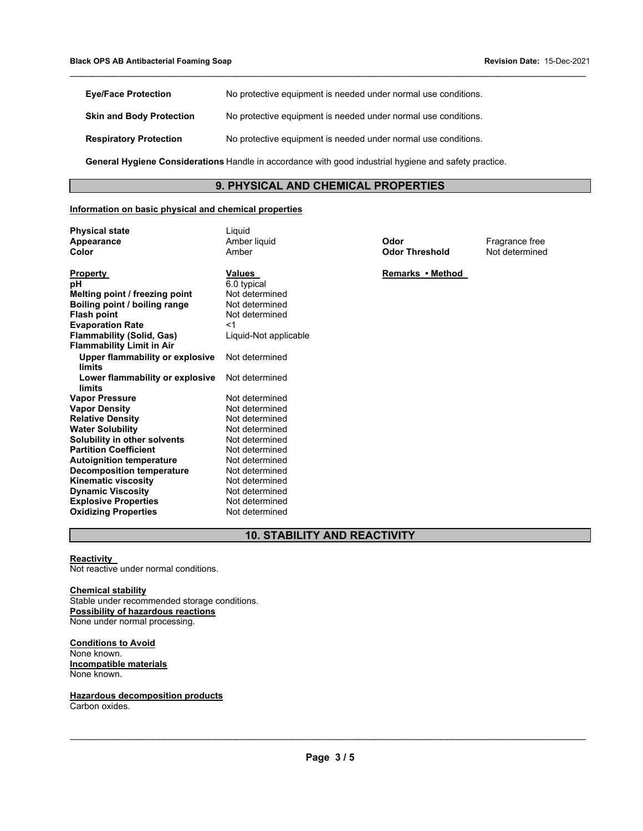| <b>Eye/Face Protection</b>                                                                            | No protective equipment is needed under normal use conditions. |  |  |
|-------------------------------------------------------------------------------------------------------|----------------------------------------------------------------|--|--|
| <b>Skin and Body Protection</b>                                                                       | No protective equipment is needed under normal use conditions. |  |  |
| <b>Respiratory Protection</b>                                                                         | No protective equipment is needed under normal use conditions. |  |  |
| General Hygiene Considerations Handle in accordance with good industrial hygiene and safety practice. |                                                                |  |  |

# **9. PHYSICAL AND CHEMICAL PROPERTIES**

\_\_\_\_\_\_\_\_\_\_\_\_\_\_\_\_\_\_\_\_\_\_\_\_\_\_\_\_\_\_\_\_\_\_\_\_\_\_\_\_\_\_\_\_\_\_\_\_\_\_\_\_\_\_\_\_\_\_\_\_\_\_\_\_\_\_\_\_\_\_\_\_\_\_\_\_\_\_\_\_\_\_\_\_\_\_\_\_\_\_\_\_\_

### **Information on basic physical and chemical properties**

**Physical state** Liquid

| Appearance                       | Amber liquid          |  |
|----------------------------------|-----------------------|--|
| Color                            | Amber                 |  |
|                                  |                       |  |
| Property                         | <b>Values</b>         |  |
| рH                               | 6.0 typical           |  |
| Melting point / freezing point   | Not determined        |  |
| Boiling point / boiling range    | Not determined        |  |
| <b>Flash point</b>               | Not determined        |  |
| <b>Evaporation Rate</b>          | $<$ 1                 |  |
| <b>Flammability (Solid, Gas)</b> | Liquid-Not applicable |  |
| <b>Flammability Limit in Air</b> |                       |  |
| Upper flammability or explosive  | Not determined        |  |
| limits                           |                       |  |
| Lower flammability or explosive  | Not determined        |  |
| limits                           |                       |  |
| <b>Vapor Pressure</b>            | Not determined        |  |
| <b>Vapor Density</b>             | Not determined        |  |
| <b>Relative Density</b>          | Not determined        |  |
| <b>Water Solubility</b>          | Not determined        |  |
| Solubility in other solvents     | Not determined        |  |
| <b>Partition Coefficient</b>     | Not determined        |  |
| <b>Autoignition temperature</b>  | Not determined        |  |
| <b>Decomposition temperature</b> | Not determined        |  |
| <b>Kinematic viscosity</b>       | Not determined        |  |
| <b>Dynamic Viscosity</b>         | Not determined        |  |
| <b>Explosive Properties</b>      | Not determined        |  |
| <b>Oxidizing Properties</b>      | Not determined        |  |
|                                  |                       |  |

**Odor Threshold** 

**Odor**<br> **Appearance** *Codor* **Threshold**<br> **A** Not determined

**Remarks • Method** 

# **10. STABILITY AND REACTIVITY**

### **Reactivity**

Not reactive under normal conditions.

### **Chemical stability**

Stable under recommended storage conditions. **Possibility of hazardous reactions**  None under normal processing.

**Conditions to Avoid**  None known. **Incompatible materials**  None known.

**Hazardous decomposition products**  Carbon oxides.

\_\_\_\_\_\_\_\_\_\_\_\_\_\_\_\_\_\_\_\_\_\_\_\_\_\_\_\_\_\_\_\_\_\_\_\_\_\_\_\_\_\_\_\_\_\_\_\_\_\_\_\_\_\_\_\_\_\_\_\_\_\_\_\_\_\_\_\_\_\_\_\_\_\_\_\_\_\_\_\_\_\_\_\_\_\_\_\_\_\_\_\_\_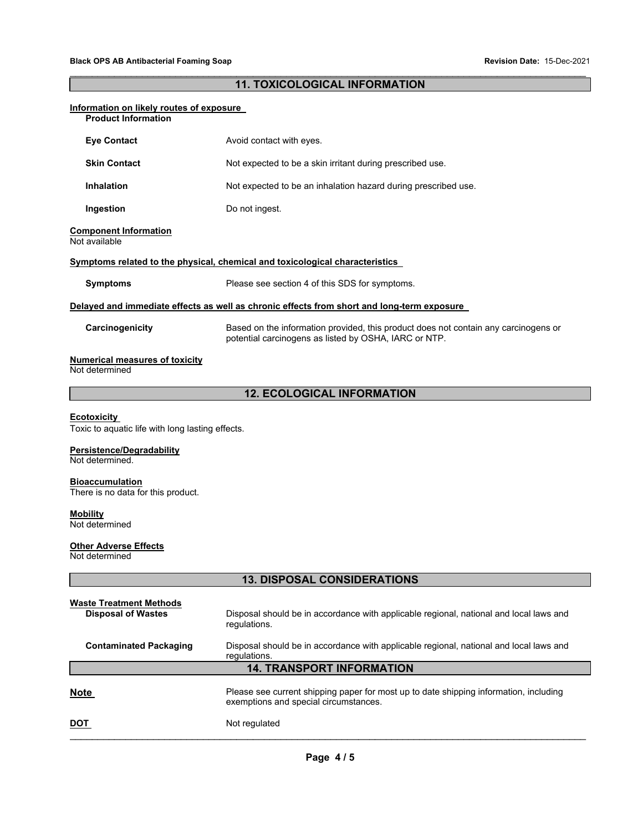# $\_$  ,  $\_$  ,  $\_$  ,  $\_$  ,  $\_$  ,  $\_$  ,  $\_$  ,  $\_$  ,  $\_$  ,  $\_$  ,  $\_$  ,  $\_$  ,  $\_$  ,  $\_$  ,  $\_$  ,  $\_$  ,  $\_$  ,  $\_$  ,  $\_$  ,  $\_$  ,  $\_$  ,  $\_$  ,  $\_$  ,  $\_$  ,  $\_$  ,  $\_$  ,  $\_$  ,  $\_$  ,  $\_$  ,  $\_$  ,  $\_$  ,  $\_$  ,  $\_$  ,  $\_$  ,  $\_$  ,  $\_$  ,  $\_$  , **11. TOXICOLOGICAL INFORMATION**

| Information on likely routes of exposure                                                                               |                                                                                                                                              |  |  |  |  |
|------------------------------------------------------------------------------------------------------------------------|----------------------------------------------------------------------------------------------------------------------------------------------|--|--|--|--|
| <b>Product Information</b>                                                                                             |                                                                                                                                              |  |  |  |  |
| <b>Eye Contact</b>                                                                                                     | Avoid contact with eyes.                                                                                                                     |  |  |  |  |
| <b>Skin Contact</b>                                                                                                    | Not expected to be a skin irritant during prescribed use.                                                                                    |  |  |  |  |
| <b>Inhalation</b>                                                                                                      | Not expected to be an inhalation hazard during prescribed use.                                                                               |  |  |  |  |
| Ingestion                                                                                                              | Do not ingest.                                                                                                                               |  |  |  |  |
| <b>Component Information</b><br>Not available                                                                          |                                                                                                                                              |  |  |  |  |
|                                                                                                                        | Symptoms related to the physical, chemical and toxicological characteristics                                                                 |  |  |  |  |
| <b>Symptoms</b>                                                                                                        | Please see section 4 of this SDS for symptoms.                                                                                               |  |  |  |  |
|                                                                                                                        | Delayed and immediate effects as well as chronic effects from short and long-term exposure                                                   |  |  |  |  |
| Carcinogenicity                                                                                                        | Based on the information provided, this product does not contain any carcinogens or<br>potential carcinogens as listed by OSHA, IARC or NTP. |  |  |  |  |
| <b>Numerical measures of toxicity</b><br>Not determined                                                                |                                                                                                                                              |  |  |  |  |
|                                                                                                                        | <b>12. ECOLOGICAL INFORMATION</b>                                                                                                            |  |  |  |  |
| <b>Ecotoxicity</b><br>Toxic to aquatic life with long lasting effects.<br>Persistence/Degradability<br>Not determined. |                                                                                                                                              |  |  |  |  |
|                                                                                                                        |                                                                                                                                              |  |  |  |  |
| <b>Bioaccumulation</b><br>There is no data for this product.                                                           |                                                                                                                                              |  |  |  |  |
| <b>Mobility</b><br>Not determined                                                                                      |                                                                                                                                              |  |  |  |  |
| <b>Other Adverse Effects</b><br>Not determined                                                                         |                                                                                                                                              |  |  |  |  |
|                                                                                                                        | <b>13. DISPOSAL CONSIDERATIONS</b>                                                                                                           |  |  |  |  |
| <b>Waste Treatment Methods</b>                                                                                         |                                                                                                                                              |  |  |  |  |
| <b>Disposal of Wastes</b>                                                                                              | Disposal should be in accordance with applicable regional, national and local laws and<br>regulations.                                       |  |  |  |  |
| <b>Contaminated Packaging</b>                                                                                          | Disposal should be in accordance with applicable regional, national and local laws and<br>regulations.                                       |  |  |  |  |
| <b>14. TRANSPORT INFORMATION</b>                                                                                       |                                                                                                                                              |  |  |  |  |
| <b>Note</b>                                                                                                            | Please see current shipping paper for most up to date shipping information, including<br>exemptions and special circumstances.               |  |  |  |  |
| <u>DOT</u>                                                                                                             | Not regulated                                                                                                                                |  |  |  |  |